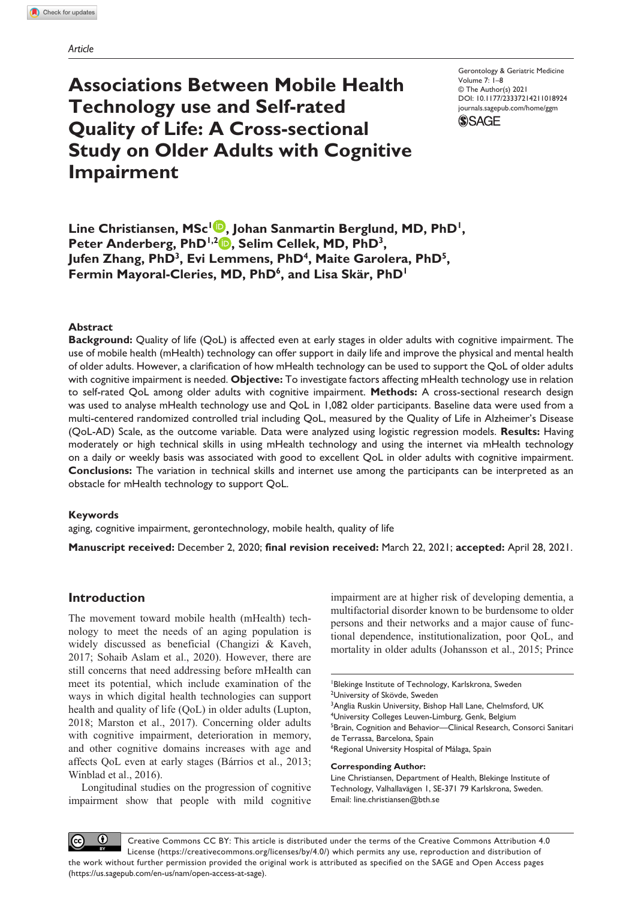# **Associations Between Mobile Health Technology use and Self-rated Quality of Life: A Cross-sectional Study on Older Adults with Cognitive Impairment**

Gerontology & Geriatric Medicine Volume 7: 1–8 © The Author(s) 2021 https://doi.org/10.1177/23337214211018924 DOI: 10.1177/23337214211018924 [journals.sagepub.com/home/ggm](https://journals.sagepub.com/home/ggm) **SSAGE** 

Line Christiansen, MSc<sup>1</sup><sup>D</sup>, Johan Sanmartin Berglund, MD, PhD<sup>1</sup>, Peter Anderberg, PhD<sup>1,2</sup> **D**, Selim Cellek, MD, PhD<sup>3</sup>, Jufen Zhang, PhD<sup>3</sup>, Evi Lemmens, PhD<sup>4</sup>, Maite Garolera, PhD<sup>5</sup>, Fermin Mayoral-Cleries, MD, PhD<sup>6</sup>, and Lisa Skär, PhD<sup>1</sup>

## **Abstract**

**Background:** Quality of life (QoL) is affected even at early stages in older adults with cognitive impairment. The use of mobile health (mHealth) technology can offer support in daily life and improve the physical and mental health of older adults. However, a clarification of how mHealth technology can be used to support the QoL of older adults with cognitive impairment is needed. **Objective:** To investigate factors affecting mHealth technology use in relation to self-rated QoL among older adults with cognitive impairment. **Methods:** A cross-sectional research design was used to analyse mHealth technology use and QoL in 1,082 older participants. Baseline data were used from a multi-centered randomized controlled trial including QoL, measured by the Quality of Life in Alzheimer's Disease (QoL-AD) Scale, as the outcome variable. Data were analyzed using logistic regression models. **Results:** Having moderately or high technical skills in using mHealth technology and using the internet via mHealth technology on a daily or weekly basis was associated with good to excellent QoL in older adults with cognitive impairment. **Conclusions:** The variation in technical skills and internet use among the participants can be interpreted as an obstacle for mHealth technology to support QoL.

#### **Keywords**

aging, cognitive impairment, gerontechnology, mobile health, quality of life

**Manuscript received:** December 2, 2020; **final revision received:** March 22, 2021; **accepted:** April 28, 2021.

# **Introduction**

The movement toward mobile health (mHealth) technology to meet the needs of an aging population is widely discussed as beneficial (Changizi & Kaveh, 2017; Sohaib Aslam et al., 2020). However, there are still concerns that need addressing before mHealth can meet its potential, which include examination of the ways in which digital health technologies can support health and quality of life (QoL) in older adults (Lupton, 2018; Marston et al., 2017). Concerning older adults with cognitive impairment, deterioration in memory, and other cognitive domains increases with age and affects QoL even at early stages (Bárrios et al., 2013; Winblad et al., 2016).

Longitudinal studies on the progression of cognitive impairment show that people with mild cognitive

impairment are at higher risk of developing dementia, a multifactorial disorder known to be burdensome to older persons and their networks and a major cause of functional dependence, institutionalization, poor QoL, and mortality in older adults (Johansson et al., 2015; Prince

Blekinge Institute of Technology, Karlskrona, Sweden <sup>2</sup>University of Skövde, Sweden <sup>3</sup>Anglia Ruskin University, Bishop Hall Lane, Chelmsford, UK 4 University Colleges Leuven-Limburg, Genk, Belgium <sup>5</sup>Brain, Cognition and Behavior—Clinical Research, Consorci Sanitari de Terrassa, Barcelona, Spain 6 Regional University Hospital of Málaga, Spain **Corresponding Author:**

Line Christiansen, Department of Health, Blekinge Institute of Technology, Valhallavägen 1, SE-371 79 Karlskrona, Sweden. Email: [line.christiansen@bth.se](mailto:line.christiansen@bth.se)

 $\bf \bf 0$  $(c)$ Creative Commons CC BY: This article is distributed under the terms of the Creative Commons Attribution 4.0 License (https://creativecommons.org/licenses/by/4.0/) which permits any use, reproduction and distribution of the work without further permission provided the original work is attributed as specified on the SAGE and Open Access pages (https://us.sagepub.com/en-us/nam/open-access-at-sage).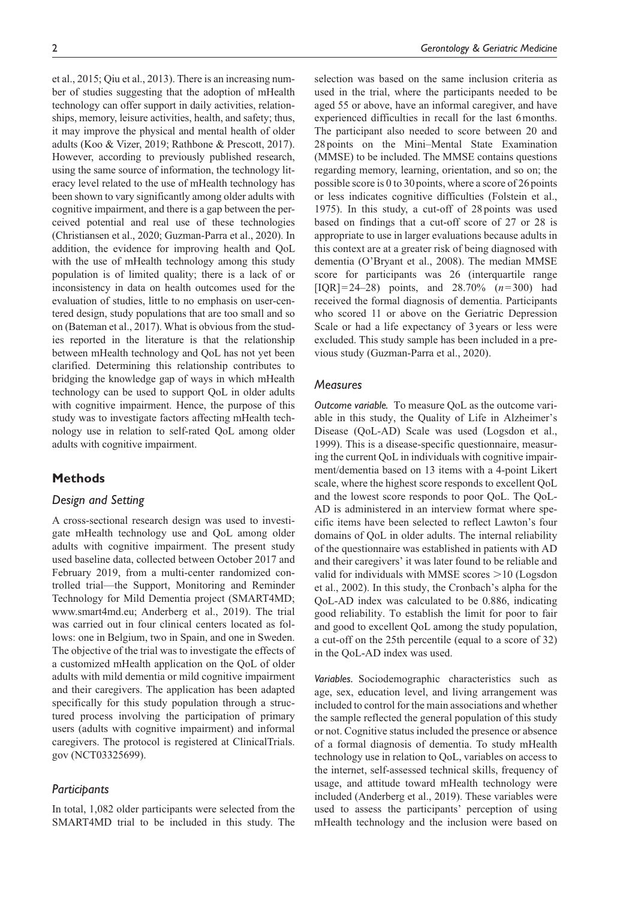et al., 2015; Qiu et al., 2013). There is an increasing number of studies suggesting that the adoption of mHealth technology can offer support in daily activities, relationships, memory, leisure activities, health, and safety; thus, it may improve the physical and mental health of older adults (Koo & Vizer, 2019; Rathbone & Prescott, 2017). However, according to previously published research, using the same source of information, the technology literacy level related to the use of mHealth technology has been shown to vary significantly among older adults with cognitive impairment, and there is a gap between the perceived potential and real use of these technologies (Christiansen et al., 2020; Guzman-Parra et al., 2020). In addition, the evidence for improving health and QoL with the use of mHealth technology among this study population is of limited quality; there is a lack of or inconsistency in data on health outcomes used for the evaluation of studies, little to no emphasis on user-centered design, study populations that are too small and so on (Bateman et al., 2017). What is obvious from the studies reported in the literature is that the relationship between mHealth technology and QoL has not yet been clarified. Determining this relationship contributes to bridging the knowledge gap of ways in which mHealth technology can be used to support QoL in older adults with cognitive impairment. Hence, the purpose of this study was to investigate factors affecting mHealth technology use in relation to self-rated QoL among older adults with cognitive impairment.

# **Methods**

## *Design and Setting*

A cross-sectional research design was used to investigate mHealth technology use and QoL among older adults with cognitive impairment. The present study used baseline data, collected between October 2017 and February 2019, from a multi-center randomized controlled trial—the Support, Monitoring and Reminder Technology for Mild Dementia project (SMART4MD; <www.smart4md.eu>; Anderberg et al., 2019). The trial was carried out in four clinical centers located as follows: one in Belgium, two in Spain, and one in Sweden. The objective of the trial was to investigate the effects of a customized mHealth application on the QoL of older adults with mild dementia or mild cognitive impairment and their caregivers. The application has been adapted specifically for this study population through a structured process involving the participation of primary users (adults with cognitive impairment) and informal caregivers. The protocol is registered at ClinicalTrials. gov (NCT03325699).

## *Participants*

In total, 1,082 older participants were selected from the SMART4MD trial to be included in this study. The selection was based on the same inclusion criteria as used in the trial, where the participants needed to be aged 55 or above, have an informal caregiver, and have experienced difficulties in recall for the last 6months. The participant also needed to score between 20 and 28points on the Mini–Mental State Examination (MMSE) to be included. The MMSE contains questions regarding memory, learning, orientation, and so on; the possible score is 0 to 30 points, where a score of 26 points or less indicates cognitive difficulties (Folstein et al., 1975). In this study, a cut-off of 28points was used based on findings that a cut-off score of 27 or 28 is appropriate to use in larger evaluations because adults in this context are at a greater risk of being diagnosed with dementia (O'Bryant et al., 2008). The median MMSE score for participants was 26 (interquartile range [IQR]=24–28) points, and 28.70% (*n*=300) had received the formal diagnosis of dementia. Participants who scored 11 or above on the Geriatric Depression Scale or had a life expectancy of 3years or less were excluded. This study sample has been included in a previous study (Guzman-Parra et al., 2020).

## *Measures*

*Outcome variable.* To measure QoL as the outcome variable in this study, the Quality of Life in Alzheimer's Disease (QoL-AD) Scale was used (Logsdon et al., 1999). This is a disease-specific questionnaire, measuring the current QoL in individuals with cognitive impairment/dementia based on 13 items with a 4-point Likert scale, where the highest score responds to excellent QoL and the lowest score responds to poor QoL. The QoL-AD is administered in an interview format where specific items have been selected to reflect Lawton's four domains of QoL in older adults. The internal reliability of the questionnaire was established in patients with AD and their caregivers' it was later found to be reliable and valid for individuals with MMSE scores >10 (Logsdon et al., 2002). In this study, the Cronbach's alpha for the QoL-AD index was calculated to be 0.886, indicating good reliability. To establish the limit for poor to fair and good to excellent QoL among the study population, a cut-off on the 25th percentile (equal to a score of 32) in the QoL-AD index was used.

*Variables.* Sociodemographic characteristics such as age, sex, education level, and living arrangement was included to control for the main associations and whether the sample reflected the general population of this study or not. Cognitive status included the presence or absence of a formal diagnosis of dementia. To study mHealth technology use in relation to QoL, variables on access to the internet, self-assessed technical skills, frequency of usage, and attitude toward mHealth technology were included (Anderberg et al., 2019). These variables were used to assess the participants' perception of using mHealth technology and the inclusion were based on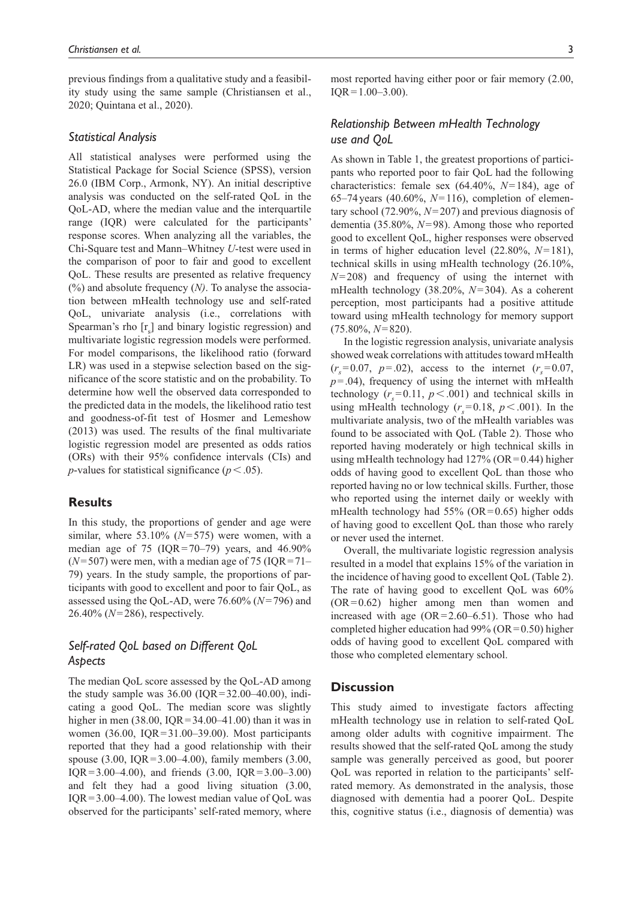previous findings from a qualitative study and a feasibility study using the same sample (Christiansen et al., 2020; Quintana et al., 2020).

## *Statistical Analysis*

All statistical analyses were performed using the Statistical Package for Social Science (SPSS), version 26.0 (IBM Corp., Armonk, NY). An initial descriptive analysis was conducted on the self-rated QoL in the QoL-AD, where the median value and the interquartile range (IQR) were calculated for the participants' response scores. When analyzing all the variables, the Chi-Square test and Mann–Whitney *U*-test were used in the comparison of poor to fair and good to excellent QoL. These results are presented as relative frequency (%) and absolute frequency (*N)*. To analyse the association between mHealth technology use and self-rated QoL, univariate analysis (i.e., correlations with Spearman's rho  $[r_s]$  and binary logistic regression) and multivariate logistic regression models were performed. For model comparisons, the likelihood ratio (forward LR) was used in a stepwise selection based on the significance of the score statistic and on the probability. To determine how well the observed data corresponded to the predicted data in the models, the likelihood ratio test and goodness-of-fit test of Hosmer and Lemeshow (2013) was used. The results of the final multivariate logistic regression model are presented as odds ratios (ORs) with their 95% confidence intervals (CIs) and *p*-values for statistical significance ( $p < .05$ ).

## **Results**

In this study, the proportions of gender and age were similar, where 53.10% (*N*=575) were women, with a median age of 75 ( $IQR = 70-79$ ) years, and  $46.90\%$  $(N=507)$  were men, with a median age of 75 (IQR = 71– 79) years. In the study sample, the proportions of participants with good to excellent and poor to fair QoL, as assessed using the QoL-AD, were 76.60% (*N*=796) and 26.40% (*N*=286), respectively.

# *Self-rated QoL based on Different QoL Aspects*

The median QoL score assessed by the QoL-AD among the study sample was  $36.00$  (IQR=32.00–40.00), indicating a good QoL. The median score was slightly higher in men  $(38.00, IQR=34.00-41.00)$  than it was in women (36.00, IQR=31.00–39.00). Most participants reported that they had a good relationship with their spouse (3.00, IQR=3.00–4.00), family members (3.00, IQR=3.00–4.00), and friends  $(3.00, IQR=3.00-3.00)$ and felt they had a good living situation (3.00, IQR=3.00–4.00). The lowest median value of QoL was observed for the participants' self-rated memory, where

most reported having either poor or fair memory (2.00,  $IQR = 1.00 - 3.00$ ).

# *Relationship Between mHealth Technology use and QoL*

As shown in Table 1, the greatest proportions of participants who reported poor to fair QoL had the following characteristics: female sex (64.40%, *N*=184), age of 65–74years (40.60%, *N*=116), completion of elementary school (72.90%, *N*=207) and previous diagnosis of dementia (35.80%, *N*=98). Among those who reported good to excellent QoL, higher responses were observed in terms of higher education level (22.80%, *N*=181), technical skills in using mHealth technology (26.10%, *N*=208) and frequency of using the internet with mHealth technology (38.20%, *N*=304). As a coherent perception, most participants had a positive attitude toward using mHealth technology for memory support (75.80%, *N*=820).

In the logistic regression analysis, univariate analysis showed weak correlations with attitudes toward mHealth  $(r_s = 0.07, p = .02)$ , access to the internet  $(r_s = 0.07, p = .02)$  $p = .04$ ), frequency of using the internet with mHealth technology  $(r_s = 0.11, p < .001)$  and technical skills in using mHealth technology  $(r<sub>s</sub>=0.18, p<.001)$ . In the multivariate analysis, two of the mHealth variables was found to be associated with QoL (Table 2). Those who reported having moderately or high technical skills in using mHealth technology had  $127\%$  (OR=0.44) higher odds of having good to excellent QoL than those who reported having no or low technical skills. Further, those who reported using the internet daily or weekly with mHealth technology had  $55\%$  (OR=0.65) higher odds of having good to excellent QoL than those who rarely or never used the internet.

Overall, the multivariate logistic regression analysis resulted in a model that explains 15% of the variation in the incidence of having good to excellent QoL (Table 2). The rate of having good to excellent QoL was 60% (OR=0.62) higher among men than women and increased with age (OR=2.60–6.51). Those who had completed higher education had  $99\%$  (OR=0.50) higher odds of having good to excellent QoL compared with those who completed elementary school.

## **Discussion**

This study aimed to investigate factors affecting mHealth technology use in relation to self-rated QoL among older adults with cognitive impairment. The results showed that the self-rated QoL among the study sample was generally perceived as good, but poorer QoL was reported in relation to the participants' selfrated memory. As demonstrated in the analysis, those diagnosed with dementia had a poorer QoL. Despite this, cognitive status (i.e., diagnosis of dementia) was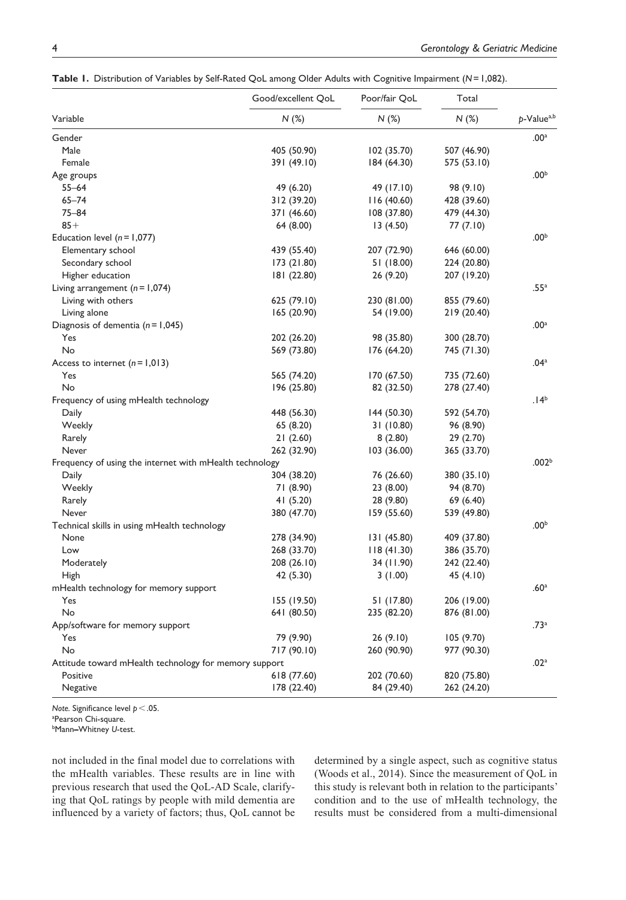| Variable                                                | Good/excellent QoL<br>$N$ (%) | Poor/fair QoL<br>N(%) | Total<br>N(%) | p-Value <sup>a,b</sup> |
|---------------------------------------------------------|-------------------------------|-----------------------|---------------|------------------------|
|                                                         |                               |                       |               |                        |
| Male                                                    | 405 (50.90)                   | 102 (35.70)           | 507 (46.90)   |                        |
| Female                                                  | 391 (49.10)                   | 184 (64.30)           | 575 (53.10)   |                        |
| Age groups                                              |                               |                       |               | .00 <sup>b</sup>       |
| $55 - 64$                                               | 49 (6.20)                     | 49 (17.10)            | 98 (9.10)     |                        |
| $65 - 74$                                               | 312 (39.20)                   | 116 (40.60)           | 428 (39.60)   |                        |
| $75 - 84$                                               | 371 (46.60)                   | 108 (37.80)           | 479 (44.30)   |                        |
| $85+$                                                   | 64 (8.00)                     | 13(4.50)              | 77(7.10)      |                        |
| Education level $(n = 1,077)$                           |                               |                       |               | .00 <sup>b</sup>       |
| Elementary school                                       | 439 (55.40)                   | 207 (72.90)           | 646 (60.00)   |                        |
| Secondary school                                        | 173 (21.80)                   | 51 (18.00)            | 224 (20.80)   |                        |
| Higher education                                        | 181 (22.80)                   | 26 (9.20)             | 207 (19.20)   |                        |
| Living arrangement $(n = 1,074)$                        |                               |                       |               | .55 <sup>a</sup>       |
| Living with others                                      | 625 (79.10)                   | 230 (81.00)           | 855 (79.60)   |                        |
| Living alone                                            | 165 (20.90)                   | 54 (19.00)            | 219 (20.40)   |                        |
| Diagnosis of dementia $(n = 1,045)$                     |                               |                       |               | .00 <sup>a</sup>       |
| Yes                                                     | 202 (26.20)                   | 98 (35.80)            | 300 (28.70)   |                        |
| No                                                      | 569 (73.80)                   | 176 (64.20)           | 745 (71.30)   |                        |
| Access to internet $(n=1,013)$                          |                               |                       |               | .04 <sup>a</sup>       |
| Yes                                                     | 565 (74.20)                   | 170 (67.50)           | 735 (72.60)   |                        |
| No                                                      | 196 (25.80)                   | 82 (32.50)            | 278 (27.40)   |                        |
| Frequency of using mHealth technology                   |                               |                       |               | .14 <sup>b</sup>       |
| Daily                                                   | 448 (56.30)                   | 144 (50.30)           | 592 (54.70)   |                        |
| Weekly                                                  | 65 (8.20)                     | 31 (10.80)            | 96 (8.90)     |                        |
| Rarely                                                  | 21(2.60)                      | 8(2.80)               | 29 (2.70)     |                        |
| Never                                                   | 262 (32.90)                   | 103 (36.00)           | 365 (33.70)   |                        |
| Frequency of using the internet with mHealth technology |                               |                       |               | .002 <sup>b</sup>      |
| Daily                                                   | 304 (38.20)                   | 76 (26.60)            | 380 (35.10)   |                        |
| Weekly                                                  | 71 (8.90)                     | 23 (8.00)             | 94 (8.70)     |                        |
| Rarely                                                  | 41 (5.20)                     | 28 (9.80)             | 69 (6.40)     |                        |
| Never                                                   | 380 (47.70)                   | 159 (55.60)           | 539 (49.80)   |                        |
| Technical skills in using mHealth technology            |                               |                       |               | .00 <sup>b</sup>       |
| None                                                    | 278 (34.90)                   | 131 (45.80)           | 409 (37.80)   |                        |
| Low                                                     | 268 (33.70)                   | 118(41.30)            | 386 (35.70)   |                        |
| Moderately                                              | 208 (26.10)                   | 34 (11.90)            | 242 (22.40)   |                        |
| High                                                    | 42 (5.30)                     | 3(1.00)               | 45 (4.10)     |                        |
| mHealth technology for memory support                   |                               |                       |               | .60 <sup>a</sup>       |
| Yes                                                     | 155 (19.50)                   | 51 (17.80)            | 206 (19.00)   |                        |
| No                                                      | 641 (80.50)                   | 235 (82.20)           | 876 (81.00)   |                        |
| App/software for memory support                         |                               |                       |               | .73 <sup>a</sup>       |
| Yes                                                     | 79 (9.90)                     | 26(9.10)              | 105 (9.70)    |                        |
| No                                                      | 717 (90.10)                   | 260 (90.90)           | 977 (90.30)   |                        |
| Attitude toward mHealth technology for memory support   |                               |                       |               | .02 <sup>a</sup>       |
| Positive                                                | 618 (77.60)                   | 202 (70.60)           | 820 (75.80)   |                        |
|                                                         |                               |                       |               |                        |

Negative 178 (22.40) 84 (29.40) 262 (24.20)

**Table 1.** Distribution of Variables by Self-Rated QoL among Older Adults with Cognitive Impairment (*N*=1,082).

*Note.* Significance level *p*<.05.

a Pearson Chi-square.

b Mann**–**Whitney *U*-test.

not included in the final model due to correlations with the mHealth variables. These results are in line with previous research that used the QoL-AD Scale, clarifying that QoL ratings by people with mild dementia are influenced by a variety of factors; thus, QoL cannot be

determined by a single aspect, such as cognitive status (Woods et al., 2014). Since the measurement of QoL in this study is relevant both in relation to the participants' condition and to the use of mHealth technology, the results must be considered from a multi-dimensional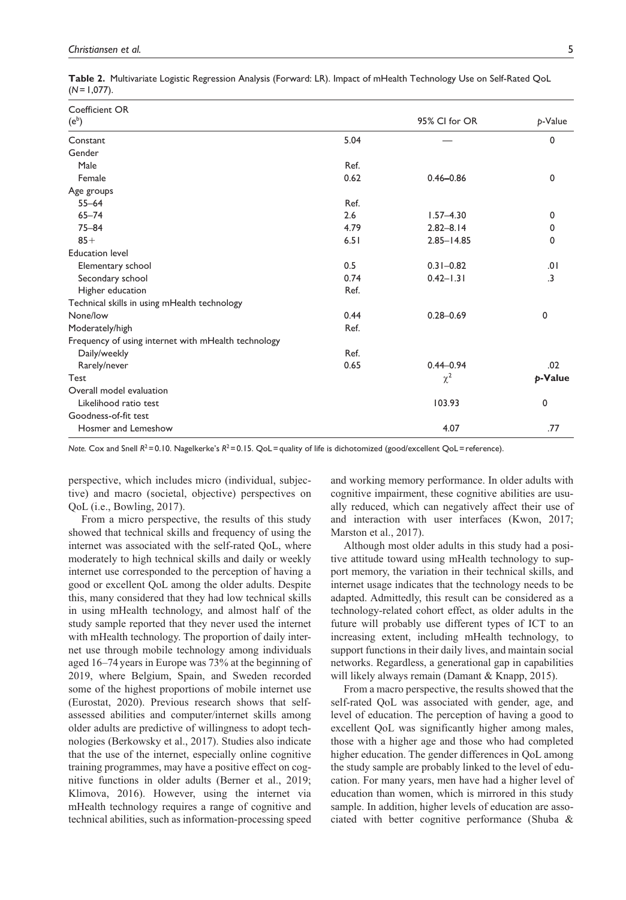|               | Table 2. Multivariate Logistic Regression Analysis (Forward: LR). Impact of mHealth Technology Use on Self-Rated QoL |  |  |
|---------------|----------------------------------------------------------------------------------------------------------------------|--|--|
| $(N=1,077)$ . |                                                                                                                      |  |  |

| Coefficient OR                                      |      |                |             |
|-----------------------------------------------------|------|----------------|-------------|
| $(e^b)$                                             |      | 95% CI for OR  | p-Value     |
| Constant                                            | 5.04 |                | 0           |
| Gender                                              |      |                |             |
| Male                                                | Ref. |                |             |
| Female                                              | 0.62 | $0.46 - 0.86$  | $\mathbf 0$ |
| Age groups                                          |      |                |             |
| $55 - 64$                                           | Ref. |                |             |
| $65 - 74$                                           | 2.6  | $1.57 - 4.30$  | 0           |
| $75 - 84$                                           | 4.79 | $2.82 - 8.14$  | 0           |
| $85+$                                               | 6.51 | $2.85 - 14.85$ | 0           |
| <b>Education level</b>                              |      |                |             |
| Elementary school                                   | 0.5  | $0.31 - 0.82$  | .01         |
| Secondary school                                    | 0.74 | $0.42 - 1.31$  | .3          |
| Higher education                                    | Ref. |                |             |
| Technical skills in using mHealth technology        |      |                |             |
| None/low                                            | 0.44 | $0.28 - 0.69$  | 0           |
| Moderately/high                                     | Ref. |                |             |
| Frequency of using internet with mHealth technology |      |                |             |
| Daily/weekly                                        | Ref. |                |             |
| Rarely/never                                        | 0.65 | $0.44 - 0.94$  | .02         |
| Test                                                |      | $\chi^2$       | p-Value     |
| Overall model evaluation                            |      |                |             |
| Likelihood ratio test                               |      | 103.93         | 0           |
| Goodness-of-fit test                                |      |                |             |
| Hosmer and Lemeshow                                 |      | 4.07           | .77         |

*Note.* Cox and Snell  $R^2 = 0.10$ . Nagelkerke's  $R^2 = 0.15$ . QoL = quality of life is dichotomized (good/excellent QoL = reference).

perspective, which includes micro (individual, subjective) and macro (societal, objective) perspectives on QoL (i.e., Bowling, 2017).

From a micro perspective, the results of this study showed that technical skills and frequency of using the internet was associated with the self-rated QoL, where moderately to high technical skills and daily or weekly internet use corresponded to the perception of having a good or excellent QoL among the older adults. Despite this, many considered that they had low technical skills in using mHealth technology, and almost half of the study sample reported that they never used the internet with mHealth technology. The proportion of daily internet use through mobile technology among individuals aged 16–74years in Europe was 73% at the beginning of 2019, where Belgium, Spain, and Sweden recorded some of the highest proportions of mobile internet use (Eurostat, 2020). Previous research shows that selfassessed abilities and computer/internet skills among older adults are predictive of willingness to adopt technologies (Berkowsky et al., 2017). Studies also indicate that the use of the internet, especially online cognitive training programmes, may have a positive effect on cognitive functions in older adults (Berner et al., 2019; Klimova, 2016). However, using the internet via mHealth technology requires a range of cognitive and technical abilities, such as information-processing speed and working memory performance. In older adults with cognitive impairment, these cognitive abilities are usually reduced, which can negatively affect their use of and interaction with user interfaces (Kwon, 2017; Marston et al., 2017).

Although most older adults in this study had a positive attitude toward using mHealth technology to support memory, the variation in their technical skills, and internet usage indicates that the technology needs to be adapted. Admittedly, this result can be considered as a technology-related cohort effect, as older adults in the future will probably use different types of ICT to an increasing extent, including mHealth technology, to support functions in their daily lives, and maintain social networks. Regardless, a generational gap in capabilities will likely always remain (Damant & Knapp, 2015).

From a macro perspective, the results showed that the self-rated QoL was associated with gender, age, and level of education. The perception of having a good to excellent QoL was significantly higher among males, those with a higher age and those who had completed higher education. The gender differences in QoL among the study sample are probably linked to the level of education. For many years, men have had a higher level of education than women, which is mirrored in this study sample. In addition, higher levels of education are associated with better cognitive performance (Shuba &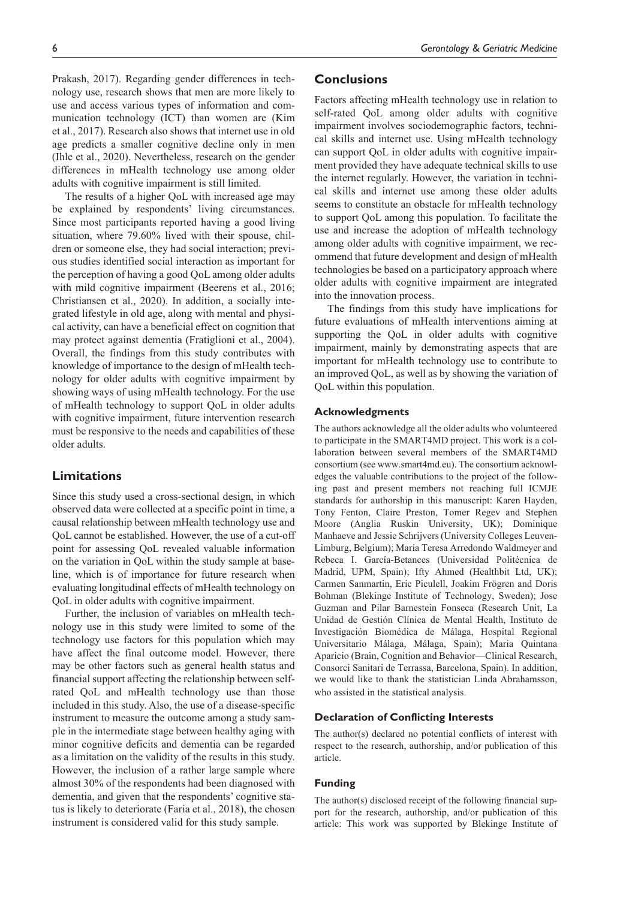Prakash, 2017). Regarding gender differences in technology use, research shows that men are more likely to use and access various types of information and communication technology (ICT) than women are (Kim et al., 2017). Research also shows that internet use in old age predicts a smaller cognitive decline only in men (Ihle et al., 2020). Nevertheless, research on the gender differences in mHealth technology use among older adults with cognitive impairment is still limited.

The results of a higher QoL with increased age may be explained by respondents' living circumstances. Since most participants reported having a good living situation, where 79.60% lived with their spouse, children or someone else, they had social interaction; previous studies identified social interaction as important for the perception of having a good QoL among older adults with mild cognitive impairment (Beerens et al., 2016; Christiansen et al., 2020). In addition, a socially integrated lifestyle in old age, along with mental and physical activity, can have a beneficial effect on cognition that may protect against dementia (Fratiglioni et al., 2004). Overall, the findings from this study contributes with knowledge of importance to the design of mHealth technology for older adults with cognitive impairment by showing ways of using mHealth technology. For the use of mHealth technology to support QoL in older adults with cognitive impairment, future intervention research must be responsive to the needs and capabilities of these older adults.

# **Limitations**

Since this study used a cross-sectional design, in which observed data were collected at a specific point in time, a causal relationship between mHealth technology use and QoL cannot be established. However, the use of a cut-off point for assessing QoL revealed valuable information on the variation in QoL within the study sample at baseline, which is of importance for future research when evaluating longitudinal effects of mHealth technology on QoL in older adults with cognitive impairment.

Further, the inclusion of variables on mHealth technology use in this study were limited to some of the technology use factors for this population which may have affect the final outcome model. However, there may be other factors such as general health status and financial support affecting the relationship between selfrated QoL and mHealth technology use than those included in this study. Also, the use of a disease-specific instrument to measure the outcome among a study sample in the intermediate stage between healthy aging with minor cognitive deficits and dementia can be regarded as a limitation on the validity of the results in this study. However, the inclusion of a rather large sample where almost 30% of the respondents had been diagnosed with dementia, and given that the respondents' cognitive status is likely to deteriorate (Faria et al., 2018), the chosen instrument is considered valid for this study sample.

# **Conclusions**

Factors affecting mHealth technology use in relation to self-rated QoL among older adults with cognitive impairment involves sociodemographic factors, technical skills and internet use. Using mHealth technology can support QoL in older adults with cognitive impairment provided they have adequate technical skills to use the internet regularly. However, the variation in technical skills and internet use among these older adults seems to constitute an obstacle for mHealth technology to support QoL among this population. To facilitate the use and increase the adoption of mHealth technology among older adults with cognitive impairment, we recommend that future development and design of mHealth technologies be based on a participatory approach where older adults with cognitive impairment are integrated into the innovation process.

The findings from this study have implications for future evaluations of mHealth interventions aiming at supporting the QoL in older adults with cognitive impairment, mainly by demonstrating aspects that are important for mHealth technology use to contribute to an improved QoL, as well as by showing the variation of QoL within this population.

### **Acknowledgments**

The authors acknowledge all the older adults who volunteered to participate in the SMART4MD project. This work is a collaboration between several members of the SMART4MD consortium (see<www.smart4md.eu>). The consortium acknowledges the valuable contributions to the project of the following past and present members not reaching full ICMJE standards for authorship in this manuscript: Karen Hayden, Tony Fenton, Claire Preston, Tomer Regev and Stephen Moore (Anglia Ruskin University, UK); Dominique Manhaeve and Jessie Schrijvers (University Colleges Leuven-Limburg, Belgium); María Teresa Arredondo Waldmeyer and Rebeca I. García-Betances (Universidad Politécnica de Madrid, UPM, Spain); Ifty Ahmed (Healthbit Ltd, UK); Carmen Sanmartin, Eric Piculell, Joakim Frögren and Doris Bohman (Blekinge Institute of Technology, Sweden); Jose Guzman and Pilar Barnestein Fonseca (Research Unit, La Unidad de Gestión Clínica de Mental Health, Instituto de Investigación Biomédica de Málaga, Hospital Regional Universitario Málaga, Málaga, Spain); Maria Quintana Aparicio (Brain, Cognition and Behavior—Clinical Research, Consorci Sanitari de Terrassa, Barcelona, Spain). In addition, we would like to thank the statistician Linda Abrahamsson, who assisted in the statistical analysis.

## **Declaration of Conflicting Interests**

The author(s) declared no potential conflicts of interest with respect to the research, authorship, and/or publication of this article.

#### **Funding**

The author(s) disclosed receipt of the following financial support for the research, authorship, and/or publication of this article: This work was supported by Blekinge Institute of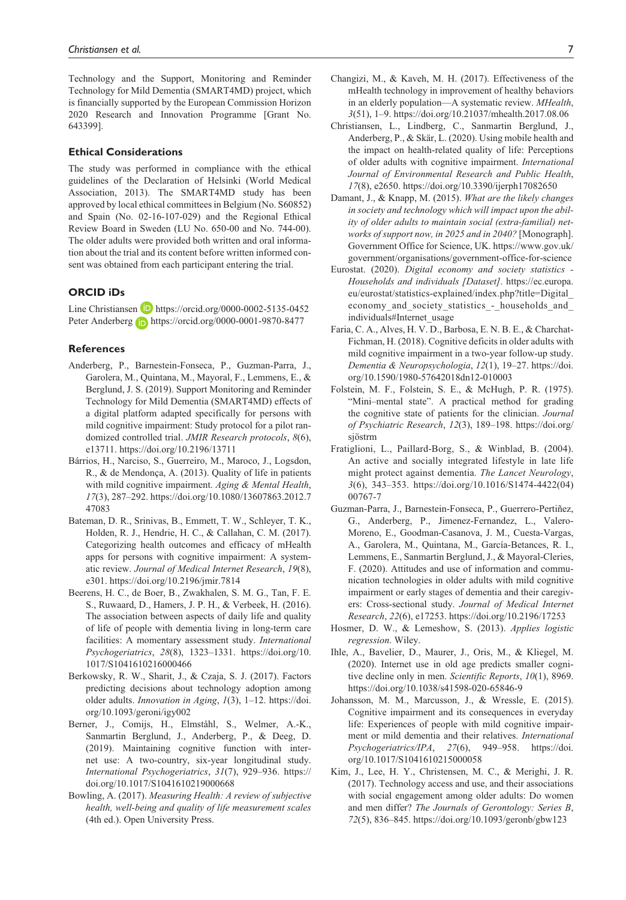Technology and the Support, Monitoring and Reminder Technology for Mild Dementia (SMART4MD) project, which is financially supported by the European Commission Horizon 2020 Research and Innovation Programme [Grant No. 643399].

#### **Ethical Considerations**

The study was performed in compliance with the ethical guidelines of the Declaration of Helsinki (World Medical Association, 2013). The SMART4MD study has been approved by local ethical committees in Belgium (No. S60852) and Spain (No. 02-16-107-029) and the Regional Ethical Review Board in Sweden (LU No. 650-00 and No. 744-00). The older adults were provided both written and oral information about the trial and its content before written informed consent was obtained from each participant entering the trial.

### **ORCID iDs**

Line Christiansen  $\Box$  <https://orcid.org/0000-0002-5135-0452> Peter Anderberg **b** <https://orcid.org/0000-0001-9870-8477>

### **References**

- Anderberg, P., Barnestein-Fonseca, P., Guzman-Parra, J., Garolera, M., Quintana, M., Mayoral, F., Lemmens, E., & Berglund, J. S. (2019). Support Monitoring and Reminder Technology for Mild Dementia (SMART4MD) effects of a digital platform adapted specifically for persons with mild cognitive impairment: Study protocol for a pilot randomized controlled trial. *JMIR Research protocols*, *8*(6), e13711. <https://doi.org/10.2196/13711>
- Bárrios, H., Narciso, S., Guerreiro, M., Maroco, J., Logsdon, R., & de Mendonça, A. (2013). Quality of life in patients with mild cognitive impairment. *Aging & Mental Health*, *17*(3), 287–292. [https://doi.org/10.1080/13607863.2012.7](https://doi.org/10.1080/13607863.2012.747083) [47083](https://doi.org/10.1080/13607863.2012.747083)
- Bateman, D. R., Srinivas, B., Emmett, T. W., Schleyer, T. K., Holden, R. J., Hendrie, H. C., & Callahan, C. M. (2017). Categorizing health outcomes and efficacy of mHealth apps for persons with cognitive impairment: A systematic review. *Journal of Medical Internet Research*, *19*(8), e301. <https://doi.org/10.2196/jmir.7814>
- Beerens, H. C., de Boer, B., Zwakhalen, S. M. G., Tan, F. E. S., Ruwaard, D., Hamers, J. P. H., & Verbeek, H. (2016). The association between aspects of daily life and quality of life of people with dementia living in long-term care facilities: A momentary assessment study. *International Psychogeriatrics*, *28*(8), 1323–1331. [https://doi.org/10.](https://doi.org/10.1017/S1041610216000466) [1017/S1041610216000466](https://doi.org/10.1017/S1041610216000466)
- Berkowsky, R. W., Sharit, J., & Czaja, S. J. (2017). Factors predicting decisions about technology adoption among older adults. *Innovation in Aging*, *1*(3), 1–12. [https://doi.](https://doi.org/10.1093/geroni/igy002) [org/10.1093/geroni/igy002](https://doi.org/10.1093/geroni/igy002)
- Berner, J., Comijs, H., Elmståhl, S., Welmer, A.-K., Sanmartin Berglund, J., Anderberg, P., & Deeg, D. (2019). Maintaining cognitive function with internet use: A two-country, six-year longitudinal study. *International Psychogeriatrics*, *31*(7), 929–936. [https://](https://doi.org/10.1017/S1041610219000668) [doi.org/10.1017/S1041610219000668](https://doi.org/10.1017/S1041610219000668)
- Bowling, A. (2017). *Measuring Health: A review of subjective health, well-being and quality of life measurement scales* (4th ed.). Open University Press.
- Changizi, M., & Kaveh, M. H. (2017). Effectiveness of the mHealth technology in improvement of healthy behaviors in an elderly population—A systematic review. *MHealth*, *3*(51), 1–9.<https://doi.org/10.21037/mhealth.2017.08.06>
- Christiansen, L., Lindberg, C., Sanmartin Berglund, J., Anderberg, P., & Skär, L. (2020). Using mobile health and the impact on health-related quality of life: Perceptions of older adults with cognitive impairment. *International Journal of Environmental Research and Public Health*, *17*(8), e2650. <https://doi.org/10.3390/ijerph17082650>
- Damant, J., & Knapp, M. (2015). *What are the likely changes in society and technology which will impact upon the ability of older adults to maintain social (extra-familial) networks of support now, in 2025 and in 2040?* [Monograph]. Government Office for Science, UK. [https://www.gov.uk/](https://www.gov.uk/government/organisations/government-office-for-science) [government/organisations/government-office-for-science](https://www.gov.uk/government/organisations/government-office-for-science)
- Eurostat. (2020). *Digital economy and society statistics Households and individuals [Dataset]*. [https://ec.europa.](https://ec.europa.eu/eurostat/statistics-explained/index.php?title=Digital_economy_and_society_statistics_-_households_and_individuals#Internet_usage) [eu/eurostat/statistics-explained/index.php?title=Digital\\_](https://ec.europa.eu/eurostat/statistics-explained/index.php?title=Digital_economy_and_society_statistics_-_households_and_individuals#Internet_usage) economy and society statistics - households and [individuals#Internet\\_usage](https://ec.europa.eu/eurostat/statistics-explained/index.php?title=Digital_economy_and_society_statistics_-_households_and_individuals#Internet_usage)
- Faria, C. A., Alves, H. V. D., Barbosa, E. N. B. E., & Charchat-Fichman, H. (2018). Cognitive deficits in older adults with mild cognitive impairment in a two-year follow-up study. *Dementia & Neuropsychologia*, *12*(1), 19–27. [https://doi.](https://doi.org/10.1590/1980-57642018dn12-010003) [org/10.1590/1980-57642018dn12-010003](https://doi.org/10.1590/1980-57642018dn12-010003)
- Folstein, M. F., Folstein, S. E., & McHugh, P. R. (1975). "Mini–mental state". A practical method for grading the cognitive state of patients for the clinician. *Journal of Psychiatric Research*, *12*(3), 189–198. [https://doi.org/](https://doi.org/sj) [sjö](https://doi.org/sj)strm
- Fratiglioni, L., Paillard-Borg, S., & Winblad, B. (2004). An active and socially integrated lifestyle in late life might protect against dementia. *The Lancet Neurology*, *3*(6), 343–353. [https://doi.org/10.1016/S1474-4422\(04\)](https://doi.org/10.1016/S1474-4422(04)00767-7) [00767-7](https://doi.org/10.1016/S1474-4422(04)00767-7)
- Guzman-Parra, J., Barnestein-Fonseca, P., Guerrero-Pertiñez, G., Anderberg, P., Jimenez-Fernandez, L., Valero-Moreno, E., Goodman-Casanova, J. M., Cuesta-Vargas, A., Garolera, M., Quintana, M., García-Betances, R. I., Lemmens, E., Sanmartin Berglund, J., & Mayoral-Cleries, F. (2020). Attitudes and use of information and communication technologies in older adults with mild cognitive impairment or early stages of dementia and their caregivers: Cross-sectional study. *Journal of Medical Internet Research*, *22*(6), e17253.<https://doi.org/10.2196/17253>
- Hosmer, D. W., & Lemeshow, S. (2013). *Applies logistic regression*. Wiley.
- Ihle, A., Bavelier, D., Maurer, J., Oris, M., & Kliegel, M. (2020). Internet use in old age predicts smaller cognitive decline only in men. *Scientific Reports*, *10*(1), 8969. <https://doi.org/10.1038/s41598-020-65846-9>
- Johansson, M. M., Marcusson, J., & Wressle, E. (2015). Cognitive impairment and its consequences in everyday life: Experiences of people with mild cognitive impairment or mild dementia and their relatives. *International Psychogeriatrics/IPA*, *27*(6), 949–958. [https://doi.](https://doi.org/10.1017/S1041610215000058) [org/10.1017/S1041610215000058](https://doi.org/10.1017/S1041610215000058)
- Kim, J., Lee, H. Y., Christensen, M. C., & Merighi, J. R. (2017). Technology access and use, and their associations with social engagement among older adults: Do women and men differ? *The Journals of Gerontology: Series B*, *72*(5), 836–845.<https://doi.org/10.1093/geronb/gbw123>